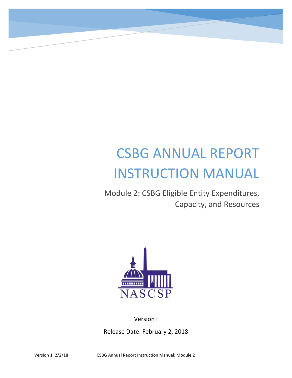# CSBG ANNUAL REPORT INSTRUCTION MANUAL

Module 2: CSBG Eligible Entity Expenditures, Capacity, and Resources



Version I Release Date: February 2, 2018

Version 1: 2/2/18 CSBG Annual Report Instruction Manual: Module 2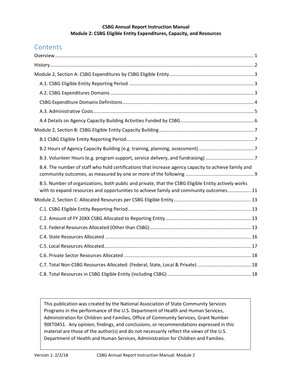#### **CSBG Annual Report Instruction Manual Module 2: CSBG Eligible Entity Expenditures, Capacity, and Resources**

# **Contents**

| B.4. The number of staff who hold certifications that increase agency capacity to achieve family and                                                                                          |  |
|-----------------------------------------------------------------------------------------------------------------------------------------------------------------------------------------------|--|
| B.5. Number of organizations, both public and private, that the CSBG Eligible Entity actively works<br>with to expand resources and opportunities to achieve family and community outcomes 11 |  |
|                                                                                                                                                                                               |  |
|                                                                                                                                                                                               |  |
|                                                                                                                                                                                               |  |
|                                                                                                                                                                                               |  |
|                                                                                                                                                                                               |  |
|                                                                                                                                                                                               |  |
|                                                                                                                                                                                               |  |
|                                                                                                                                                                                               |  |
|                                                                                                                                                                                               |  |

This publication was created by the National Association of State Community Services Programs in the performance of the U.S. Department of Health and Human Services, Administration for Children and Families, Office of Community Services, Grant Number 90ET0451. Any opinion, findings, and conclusions, or recommendations expressed in this material are those of the author(s) and do not necessarily reflect the views of the U.S. Department of Health and Human Services, Administration for Children and Families.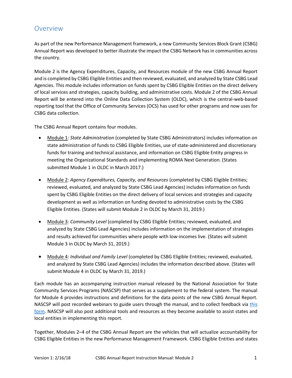## <span id="page-2-0"></span>Overview

As part of the new Performance Management framework, a new Community Services Block Grant (CSBG) Annual Report was developed to better illustrate the impact the CSBG Network has in communities across the country.

Module 2 is the Agency Expenditures, Capacity, and Resources module of the new CSBG Annual Report and is completed by CSBG Eligible Entities and then reviewed, evaluated, and analyzed by State CSBG Lead Agencies. This module includes information on funds spent by CSBG Eligible Entities on the direct delivery of local services and strategies, capacity building, and administrative costs. Module 2 of the CSBG Annual Report will be entered into the Online Data Collection System (OLDC), which is the central-web-based reporting tool that the Office of Community Services (OCS) has used for other programs and now uses for CSBG data collection.

The CSBG Annual Report contains four modules.

- Module 1: *State Administration* (completed by State CSBG Administrators) includes information on state administration of funds to CSBG Eligible Entities, use of state-administered and discretionary funds for training and technical assistance, and information on CSBG Eligible Entity progress in meeting the Organizational Standards and implementing ROMA Next Generation. (States submitted Module 1 in OLDC in March 2017.)
- Module 2: *Agency Expenditures, Capacity, and Resources* (completed by CSBG Eligible Entities; reviewed, evaluated, and analyzed by State CSBG Lead Agencies) includes information on funds spent by CSBG Eligible Entities on the direct delivery of local services and strategies and capacity development as well as information on funding devoted to administrative costs by the CSBG Eligible Entities. (States will submit Module 2 in OLDC by March 31, 2019.)
- Module 3: *Community Level* (completed by CSBG Eligible Entities; reviewed, evaluated, and analyzed by State CSBG Lead Agencies) includes information on the implementation of strategies and results achieved for communities where people with low-incomes live. (States will submit Module 3 in OLDC by March 31, 2019.)
- Module 4: *Individual and Family Level* (completed by CSBG Eligible Entities; reviewed, evaluated, and analyzed by State CSBG Lead Agencies) includes the information described above. (States will submit Module 4 in OLDC by March 31, 2019.)

Each module has an accompanying instruction manual released by the National Association for State Community Services Programs (NASCSP) that serves as a supplement to the federal system. The manual for Module 4 provides instructions and definitions for the data points of the new CSBG Annual Report. NASCSP will post recorded webinars to guide users through the manual, and to collect feedback via this [form.](https://docs.google.com/forms/d/18p68hpqAhyXVBIn1nQcs69gNRI4v7r2FovA0B_D3tUw/viewform?edit_requested=true) NASCSP will also post additional tools and resources as they become available to assist states and local entities in implementing this report.

Together, Modules 2–4 of the CSBG Annual Report are the vehicles that will actualize accountability for CSBG Eligible Entities in the new Performance Management Framework. CSBG Eligible Entities and states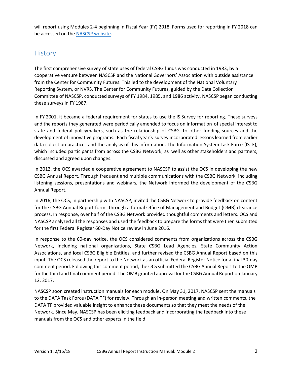will report using Modules 2-4 beginning in Fiscal Year (FY) 2018. Forms used for reporting in FY 2018 can be accessed on th[e NASCSP website.](http://www.nascsp.org/)

## <span id="page-3-0"></span>**History**

The first comprehensive survey of state uses of federal CSBG funds was conducted in 1983, by a cooperative venture between NASCSP and the National Governors' Association with outside assistance from the Center for Community Futures. This led to the development of the National Voluntary Reporting System, or NVRS. The Center for Community Futures, guided by the Data Collection Committee of NASCSP, conducted surveys of FY 1984, 1985, and 1986 activity. NASCSP began conducting these surveys in FY 1987.

In FY 2001, it became a federal requirement for states to use the IS Survey for reporting. These surveys and the reports they generated were periodically amended to focus on information of special interest to state and federal policymakers, such as the relationship of CSBG to other funding sources and the development of innovative programs. Each fiscal year's survey incorporated lessons learned from earlier data collection practices and the analysis of this information. The Information System Task Force (ISTF), which included participants from across the CSBG Network, as well as other stakeholders and partners, discussed and agreed upon changes.

In 2012, the OCS awarded a cooperative agreement to NASCSP to assist the OCS in developing the new CSBG Annual Report. Through frequent and multiple communications with the CSBG Network, including listening sessions, presentations and webinars, the Network informed the development of the CSBG Annual Report.

In 2016, the OCS, in partnership with NASCSP, invited the CSBG Network to provide feedback on content for the CSBG Annual Report forms through a formal Office of Management and Budget (OMB) clearance process. In response, over half of the CSBG Network provided thoughtful comments and letters. OCS and NASCSP analyzed all the responses and used the feedback to prepare the forms that were then submitted for the first Federal Register 60-Day Notice review in June 2016.

In response to the 60-day notice, the OCS considered comments from organizations across the CSBG Network, including national organizations, State CSBG Lead Agencies, State Community Action Associations, and local CSBG Eligible Entities, and further revised the CSBG Annual Report based on this input. The OCS released the report to the Network as an official Federal Register Notice for a final 30-day comment period. Following this comment period, the OCS submitted the CSBG Annual Report to the OMB for the third and final comment period. The OMB granted approval for the CSBG Annual Report on January 12, 2017.

NASCSP soon created instruction manuals for each module. On May 31, 2017, NASCSP sent the manuals to the DATA Task Force (DATA TF) for review. Through an in-person meeting and written comments, the DATA TF provided valuable insight to enhance these documents so that they meet the needs of the Network. Since May, NASCSP has been eliciting feedback and incorporating the feedback into these manuals from the OCS and other experts in the field.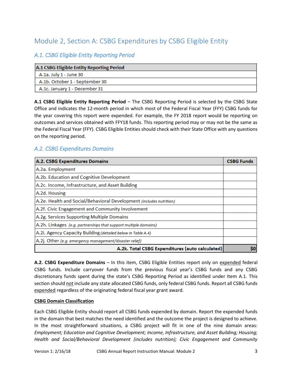# <span id="page-4-0"></span>Module 2, Section A: CSBG Expenditures by CSBG Eligible Entity

## <span id="page-4-1"></span>*A.1. CSBG Eligible Entity Reporting Period*

| A.1 CSBG Eligible Entity Reporting Period |  |  |  |
|-------------------------------------------|--|--|--|
| A.1a. July 1 - June 30                    |  |  |  |
| A.1b. October 1 - September 30            |  |  |  |
| A.1c. January 1 - December 31             |  |  |  |

**A.1 CSBG Eligible Entity Reporting Period** – The CSBG Reporting Period is selected by the CSBG State Office and indicates the 12-month period in which most of the Federal Fiscal Year (FFY) CSBG funds for the year covering this report were expended. For example, the FY 2018 report would be reporting on outcomes and services obtained with FFY18 funds. This reporting period may or may not be the same as the Federal Fiscal Year (FFY). CSBG Eligible Entities should check with their State Office with any questions on the reporting period.

## <span id="page-4-2"></span>*A.2. CSBG Expenditures Domains*

| A.2. CSBG Expenditures Domains                                      | <b>CSBG Funds</b> |  |
|---------------------------------------------------------------------|-------------------|--|
| A.2a. Employment                                                    |                   |  |
| A.2b. Education and Cognitive Development                           |                   |  |
| A.2c. Income, Infrastructure, and Asset Building                    |                   |  |
| A.2d. Housing                                                       |                   |  |
| A.2e. Health and Social/Behavioral Development (includes nutrition) |                   |  |
| A.2f. Civic Engagement and Community Involvement                    |                   |  |
| A.2g. Services Supporting Multiple Domains                          |                   |  |
| A.2h. Linkages (e.g. partnerships that support multiple domains)    |                   |  |
| A.2i. Agency Capacity Building (detailed below in Table A.4)        |                   |  |
| A.2j. Other (e.g. emergency management/disaster relief)             |                   |  |
| A.2k. Total CSBG Expenditures (auto calculated)                     |                   |  |

**A.2. CSBG Expenditure Domains** – In this item, CSBG Eligible Entities report only on expended federal CSBG funds. Include carryover funds from the previous fiscal year's CSBG funds and any CSBG discretionary funds spent during the state's CSBG Reporting Period as identified under Item A.1. This section should not include any state allocated CSBG funds, only federal CSBG funds. Report all CSBG funds expended regardless of the originating federal fiscal year grant award.

#### **CSBG Domain Classification**

Each CSBG Eligible Entity should report all CSBG funds expended by domain. Report the expended funds in the domain that best matches the need identified and the outcome the project is designed to achieve. In the most straightforward situations, a CSBG project will fit in one of the nine domain areas: *Employment; Education and Cognitive Development; Income, Infrastructure, and Asset Building; Housing; Health and Social/Behavioral Development (includes nutrition); Civic Engagement and Community*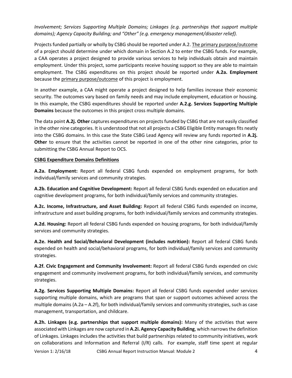*Involvement; Services Supporting Multiple Domains; Linkages (e.g. partnerships that support multiple domains); Agency Capacity Building; and "Other" (e.g. emergency management/disaster relief).* 

Projects funded partially or wholly by CSBG should be reported under A.2. The primary purpose/outcome of a project should determine under which domain in Section A.2 to enter the CSBG funds. For example, a CAA operates a project designed to provide various services to help individuals obtain and maintain employment. Under this project, some participants receive housing support so they are able to maintain employment. The CSBG expenditures on this project should be reported under **A.2a. Employment** because the primary purpose/outcome of this project is employment.

In another example, a CAA might operate a project designed to help families increase their economic security. The outcomes vary based on family needs and may include employment, education or housing. In this example, the CSBG expenditures should be reported under **A.2.g. Services Supporting Multiple Domains** because the outcomes in this project cross multiple domains.

The data point **A.2j. Other** captures expenditures on projects funded by CSBG that are not easily classified in the other nine categories. It is understood that not all projects a CSBG Eligible Entity manages fits neatly into the CSBG domains. In this case the State CSBG Lead Agency will review any funds reported in **A.2j. Other** to ensure that the activities cannot be reported in one of the other nine categories, prior to submitting the CSBG Annual Report to OCS.

#### <span id="page-5-0"></span>**CSBG Expenditure Domains Definitions**

**A.2a. Employment:** Report all federal CSBG funds expended on employment programs, for both individual/family services and community strategies.

**A.2b. Education and Cognitive Development:** Report all federal CSBG funds expended on education and cognitive development programs, for both individual/family services and community strategies.

**A.2c. Income, Infrastructure, and Asset Building:** Report all federal CSBG funds expended on income, infrastructure and asset building programs, for both individual/family services and community strategies.

**A.2d. Housing:** Report all federal CSBG funds expended on housing programs, for both individual/family services and community strategies.

**A.2e. Health and Social/Behavioral Development (includes nutrition):** Report all federal CSBG funds expended on health and social/behavioral programs, for both individual/family services and community strategies.

**A.2f. Civic Engagement and Community Involvement:** Report all federal CSBG funds expended on civic engagement and community involvement programs, for both individual/family services, and community strategies.

**A.2g. Services Supporting Multiple Domains:** Report all federal CSBG funds expended under services supporting multiple domains, which are programs that span or support outcomes achieved across the multiple domains (A.2a – A.2f), for both individual/family services and community strategies, such as case management, transportation, and childcare.

**A.2h. Linkages (e.g. partnerships that support multiple domains):** Many of the activities that were associated with Linkages are now captured in **A.2i. Agency Capacity Building**, which narrows the definition of Linkages. Linkages includes the activities that build partnerships related to community initiatives, work on collaborations and Information and Referral (I/R) calls. For example, staff time spent at regular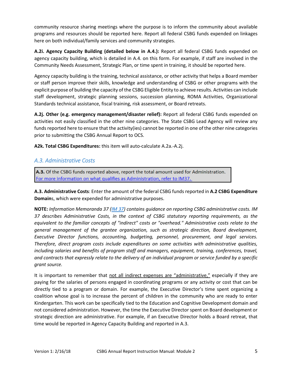community resource sharing meetings where the purpose is to inform the community about available programs and resources should be reported here. Report all federal CSBG funds expended on linkages here on both individual/family services and community strategies.

**A.2i. Agency Capacity Building (detailed below in A.4.):** Report all federal CSBG funds expended on agency capacity building, which is detailed in A.4. on this form. For example, if staff are involved in the Community Needs Assessment, Strategic Plan, or time spent in training, it should be reported here.

Agency capacity building is the training, technical assistance, or other activity that helps a Board member or staff person improve their skills, knowledge and understanding of CSBG or other programs with the explicit purpose of building the capacity of the CSBG Eligible Entity to achieve results. Activities can include staff development, strategic planning sessions, succession planning, ROMA Activities, Organizational Standards technical assistance, fiscal training, risk assessment, or Board retreats.

**A.2j. Other (e.g. emergency management/disaster relief):** Report all federal CSBG funds expended on activities not easily classified in the other nine categories. The State CSBG Lead Agency will review any funds reported here to ensure that the activity(ies) cannot be reported in one of the other nine categories prior to submitting the CSBG Annual Report to OCS.

**A2k. Total CSBG Expenditures:** this item will auto-calculate A.2a.-A.2j.

#### <span id="page-6-0"></span>*A.3. Administrative Costs*

A.3. Of the CSBG funds reported above, report the total amount used for Administration. For more information on what qualifies as Administration, refer to IM37.

**A.3. Administrative Costs**: Enter the amount of the federal CSBG funds reported in **A.2 CSBG Expenditure Domain**s, which were expended for administrative purposes.

**NOTE:** *Information Memoranda 37 [\(IM](https://www.acf.hhs.gov/ocs/resource/im-no-37-definition-and-allowability-of-direct-and-administrative-cost) 37) contains guidance on reporting CSBG administrative costs. IM 37 describes Administrative Costs, in the context of CSBG statutory reporting requirements, as the equivalent to the familiar concepts of "indirect" costs or "overhead." Administrative costs relate to the general management of the grantee organization, such as strategic direction, Board development, Executive Director functions, accounting, budgeting, personnel, procurement, and legal services. Therefore, direct program costs include expenditures on some activities with administrative qualities, including salaries and benefits of program staff and managers, equipment, training, conferences, travel, and contracts that expressly relate to the delivery of an individual program or service funded by a specific grant source.*

It is important to remember that not all indirect expenses are "administrative," especially if they are paying for the salaries of persons engaged in coordinating programs or any activity or cost that can be directly tied to a program or domain. For example, the Executive Director's time spent organizing a coalition whose goal is to increase the percent of children in the community who are ready to enter Kindergarten. This work can be specifically tied to the Education and Cognitive Development domain and not considered administration. However, the time the Executive Director spent on Board development or strategic direction are administrative. For example, if an Executive Director holds a Board retreat, that time would be reported in Agency Capacity Building and reported in A.3.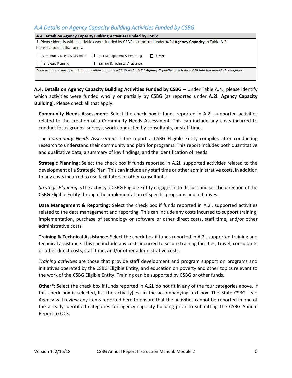## <span id="page-7-0"></span>*A.4 Details on Agency Capacity Building Activities Funded by CSBG*

| A.4. Details on Agency Capacity Building Activities Funded by CSBG:                                                                  |                                             |                        |  |  |
|--------------------------------------------------------------------------------------------------------------------------------------|---------------------------------------------|------------------------|--|--|
| 1. Please identify which activities were funded by CSBG as reported under <b>A.2.i Agency Capacity</b> in Table A.2.                 |                                             |                        |  |  |
| Please check all that apply.                                                                                                         |                                             |                        |  |  |
| □ Community Needs Assessment                                                                                                         | Data Management & Reporting<br>$\mathbf{L}$ | Other*<br>$\mathbf{I}$ |  |  |
| Strategic Planning                                                                                                                   | Training & Technical Assistance             |                        |  |  |
| *Below please specify any Other activities funded by CSBG under A.2.i Agency Capacity which do not fit into the provided categories: |                                             |                        |  |  |
|                                                                                                                                      |                                             |                        |  |  |

**A.4. Details on Agency Capacity Building Activities Funded by CSBG –** Under Table A.4., please identify which activities were funded wholly or partially by CSBG (as reported under **A.2i. Agency Capacity Building**). Please check all that apply.

**Community Needs Assessment:** Select the check box if funds reported in A.2i. supported activities related to the creation of a Community Needs Assessment. This can include any costs incurred to conduct focus groups, surveys, work conducted by consultants, or staff time.

The *Community Needs Assessment* is the report a CSBG Eligible Entity compiles after conducting research to understand their community and plan for programs. This report includes both quantitative and qualitative data, a summary of key findings, and the identification of needs.

**Strategic Planning:** Select the check box if funds reported in A.2i. supported activities related to the development of a Strategic Plan. This can include any staff time or other administrative costs, in addition to any costs incurred to use facilitators or other consultants.

*Strategic Planning* is the activity a CSBG Eligible Entity engages in to discuss and set the direction of the CSBG Eligible Entity through the implementation of specific programs and initiatives.

**Data Management & Reporting:** Select the check box if funds reported in A.2i. supported activities related to the data management and reporting. This can include any costs incurred to support training, implementation, purchase of technology or software or other direct costs, staff time, and/or other administrative costs.

**Training & Technical Assistance:** Select the check box if funds reported in A.2i. supported training and technical assistance. This can include any costs incurred to secure training facilities, travel, consultants or other direct costs, staff time, and/or other administrative costs.

*Training activities* are those that provide staff development and program support on programs and initiatives operated by the CSBG Eligible Entity, and education on poverty and other topics relevant to the work of the CSBG Eligible Entity. Training can be supported by CSBG or other funds.

**Other\*:** Select the check box if funds reported in A.2i. do not fit in any of the four categories above. If this check box is selected, list the activitiy(ies) in the accompanying text box. The State CSBG Lead Agency will review any items reported here to ensure that the activities cannot be reported in one of the already identified categories for agency capacity building prior to submitting the CSBG Annual Report to OCS.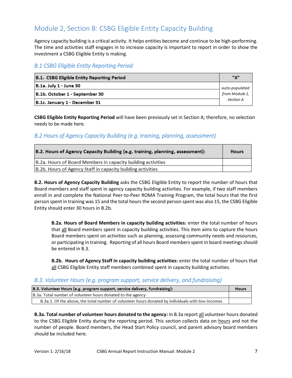# <span id="page-8-0"></span>Module 2, Section B: CSBG Eligible Entity Capacity Building

Agency capacity building is a critical activity. It helps entities become and continue to be high-performing. The time and activities staff engages in to increase capacity is important to report in order to show the investment a CSBG Eligible Entity is making.

## <span id="page-8-1"></span>*B.1 CSBG Eligible Entity Reporting Period*

| <b>B.1. CSBG Eligible Entity Reporting Period</b> | <b>HVIL</b>      |  |
|---------------------------------------------------|------------------|--|
| <b>B.1a. July 1 - June 30</b>                     | auto-populated   |  |
| B.1b. October 1 - September 30                    | from Module 2,   |  |
| B.1c. January 1 - December 31                     | <b>Section A</b> |  |

**CSBG Eligible Entity Reporting Period** will have been previously set in Section A; therefore, no selection needs to be made here.

## <span id="page-8-2"></span>*B.2 Hours of Agency Capacity Building (e.g. training, planning, assessment)*

| B.2. Hours of Agency Capacity Building (e.g. training, planning, assessment): |  |  |
|-------------------------------------------------------------------------------|--|--|
| B.2a. Hours of Board Members in capacity building activities                  |  |  |
| B.2b. Hours of Agency Staff in capacity building activities                   |  |  |

**B.2. Hours of Agency Capacity Building** asks the CSBG Eligible Entity to report the number of hours that Board members and staff spent in agency capacity building activities. For example, if two staff members enroll in and complete the National Peer-to-Peer ROMA Training Program, the total hours that the first person spent in training was 15 and the total hours the second person spent was also 15, the CSBG Eligible Entity should enter 30 hours in B.2b.

**B.2a. Hours of Board Members in capacity building activities:** enter the total number of hours that all Board members spent in capacity building activities. This item aims to capture the hours Board members spent on activities such as planning, assessing community needs and resources, or participating in training. Reporting of all hours Board members spent in board meetings should be entered in B.3.

**B.2b. Hours of Agency Staff in capacity building activities:** enter the total number of hours that all CSBG Eligible Entity staff members combined spent in capacity building activities.

#### <span id="page-8-3"></span>*B.3. Volunteer Hours (e.g. program support, service delivery, and fundraising)*

| B.3. Volunteer Hours (e.g. program support, service delivery, fundraising):                       |  |  |
|---------------------------------------------------------------------------------------------------|--|--|
| B.3a. Total number of volunteer hours donated to the agency                                       |  |  |
| B.3a.1. Of the above, the total number of volunteer hours donated by individuals with low-incomes |  |  |

**B.3a. Total number of volunteer hours donated to the agency:** In B.3a report all volunteer hours donated to the CSBG Eligible Entity during the reporting period. This section collects data on hours and not the number of people. Board members, the Head Start Policy council, and parent advisory board members should be included here.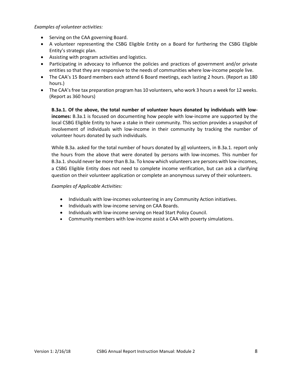*Examples of volunteer activities:*

- Serving on the CAA governing Board.
- A volunteer representing the CSBG Eligible Entity on a Board for furthering the CSBG Eligible Entity's strategic plan.
- Assisting with program activities and logistics.
- Participating in advocacy to influence the policies and practices of government and/or private entities so that they are responsive to the needs of communities where low-income people live.
- The CAA's 15 Board members each attend 6 Board meetings, each lasting 2 hours. (Report as 180 hours.)
- The CAA's free tax preparation program has 10 volunteers, who work 3 hours a week for 12 weeks. (Report as 360 hours)

**B.3a.1. Of the above, the total number of volunteer hours donated by individuals with lowincomes:** B.3a.1 is focused on documenting how people with low-income are supported by the local CSBG Eligible Entity to have a stake in their community. This section provides a snapshot of involvement of individuals with low-income in their community by tracking the number of volunteer hours donated by such individuals.

While B.3a. asked for the total number of hours donated by all volunteers, in B.3a.1. report only the hours from the above that were donated by persons with low-incomes. This number for B.3a.1. should never be more than B.3a. To know which volunteers are persons with low-incomes, a CSBG Eligible Entity does not need to complete income verification, but can ask a clarifying question on their volunteer application or complete an anonymous survey of their volunteers.

#### *Examples of Applicable Activities:*

- Individuals with low-incomes volunteering in any Community Action initiatives.
- Individuals with low-income serving on CAA Boards.
- Individuals with low-income serving on Head Start Policy Council.
- Community members with low-income assist a CAA with poverty simulations.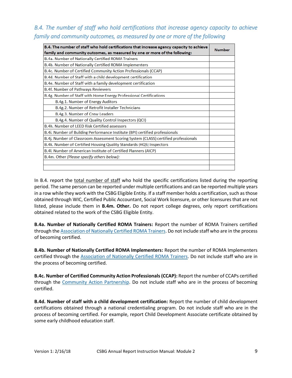## <span id="page-10-0"></span>*B.4. The number of staff who hold certifications that increase agency capacity to achieve family and community outcomes, as measured by one or more of the following*

| B.4. The number of staff who hold certifications that increase agency capacity to achieve<br>family and community outcomes, as measured by one or more of the following: |  |  |
|--------------------------------------------------------------------------------------------------------------------------------------------------------------------------|--|--|
| B.4a. Number of Nationally Certified ROMA Trainers                                                                                                                       |  |  |
| B.4b. Number of Nationally Certified ROMA Implementers                                                                                                                   |  |  |
| B.4c. Number of Certified Community Action Professionals (CCAP)                                                                                                          |  |  |
| B.4d. Number of Staff with a child development certification                                                                                                             |  |  |
| B.4e. Number of Staff with a family development certification                                                                                                            |  |  |
| <b>B.4f. Number of Pathways Reviewers</b>                                                                                                                                |  |  |
| B.4g. Number of Staff with Home Energy Professional Certifications                                                                                                       |  |  |
| B.4g.1. Number of Energy Auditors                                                                                                                                        |  |  |
| B.4g.2. Number of Retrofit Installer Technicians                                                                                                                         |  |  |
| B.4g.3. Number of Crew Leaders                                                                                                                                           |  |  |
| B.4g.4. Number of Quality Control Inspectors (QCI)                                                                                                                       |  |  |
| B.4h. Number of LEED Risk Certified assessors                                                                                                                            |  |  |
| B.4i. Number of Building Performance Institute (BPI) certified professionals                                                                                             |  |  |
| B.4j. Number of Classroom Assessment Scoring System (CLASS) certified professionals                                                                                      |  |  |
| B.4k. Number of Certified Housing Quality Standards (HQS) Inspectors                                                                                                     |  |  |
| B.4I. Number of American Institute of Certified Planners (AICP)                                                                                                          |  |  |
| B.4m. Other (Please specify others below):                                                                                                                               |  |  |
|                                                                                                                                                                          |  |  |
|                                                                                                                                                                          |  |  |

In B.4. report the total number of staff who hold the specific certifications listed during the reporting period. The same person can be reported under multiple certifications and can be reported multiple years in a row while they work with the CSBG Eligible Entity. If a staff member holds a certification, such as those obtained through WIC, Certified Public Accountant, Social Work licensure, or other licensures that are not listed, please include them in **B.4m. Other.** Do not report college degrees, only report certifications obtained related to the work of the CSBG Eligible Entity.

**B.4a. Number of Nationally Certified ROMA Trainers:** Report the number of ROMA Trainers certified through the [Association of Nationally Certified ROMA Trainers.](http://www.roma-nptp.org/) Do not include staff who are in the process of becoming certified.

**B.4b. Number of Nationally Certified ROMA Implementers:** Report the number of ROMA Implementers certified through the [Association of Nationally Certified ROMA Trainers.](http://www.roma-nptp.org/) Do not include staff who are in the process of becoming certified.

**B.4c. Number of Certified Community Action Professionals (CCAP):** Report the number of CCAPs certified through the [Community Action Partnership.](https://www.communityactionpartnership.com/menus/certified-community-action-professional-ccap.html) Do not include staff who are in the process of becoming certified.

**B.4d. Number of staff with a child development certification:** Report the number of child development certifications obtained through a national credentialing program. Do not include staff who are in the process of becoming certified. For example, report Child Development Associate certificate obtained by some early childhood education staff.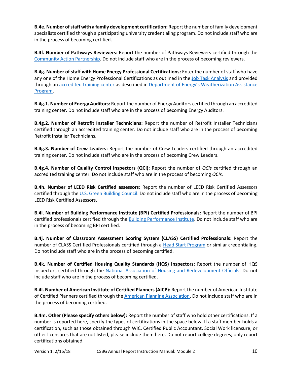**B.4e. Number of staff with a family development certification:** Report the number of family development specialists certified through a participating university credentialing program. Do not include staff who are in the process of becoming certified.

**B.4f. Number of Pathways Reviewers:** Report the number of Pathways Reviewers certified through the [Community Action Partnership.](https://www.communityactionpartnership.com/menus/pathways-to-excellenceaward-for-excellence.html) Do not include staff who are in the process of becoming reviewers.

**B.4g. Number of staff with Home Energy Professional Certifications:** Enter the number of staff who have any one of the Home Energy Professional Certifications as outlined in the [Job Task Analysis](https://energy.gov/eere/wipo/guidelines-home-energy-professionals-accredited-training#jtas) and provided through an [accredited training center](http://www.irecusa.org/credentialing/credential-holders/) as described in [Department of Energy's Weatherization Assistance](https://energy.gov/eere/wipo/weatherization-assistance-program)  [Program.](https://energy.gov/eere/wipo/weatherization-assistance-program)

**B.4g.1. Number of Energy Auditors:** Report the number of Energy Auditors certified through an accredited training center. Do not include staff who are in the process of becoming Energy Auditors.

**B.4g.2. Number of Retrofit Installer Technicians:** Report the number of Retrofit Installer Technicians certified through an accredited training center. Do not include staff who are in the process of becoming Retrofit Installer Technicians.

**B.4g.3. Number of Crew Leaders:** Report the number of Crew Leaders certified through an accredited training center. Do not include staff who are in the process of becoming Crew Leaders.

**B.4g.4. Number of Quality Control Inspectors (QCI):** Report the number of *QCIs* certified through an accredited training center. Do not include staff who are in the process of becoming *QCIs.*

**B.4h. Number of LEED Risk Certified assessors:** Report the number of LEED Risk Certified Assessors certified through the [U.S. Green Building Council.](http://www.usgbc.org/credits/new-construction-core-and-shell-schools-new-construction-retail-new-construction-healthc-107) Do not include staff who are in the process of becoming LEED Risk Certified Assessors.

**B.4i. Number of Building Performance Institute (BPI) Certified Professionals:** Report the number of BPI certified professionals certified through the [Building Performance Institute.](http://www.bpihomeowner.org/) Do not include staff who are in the process of becoming BPI certified.

**B.4j. Number of Classroom Assessment Scoring System (CLASS) Certified Professionals:** Report the number of CLASS Certified Professionals certified through a [Head Start Program](https://eclkc.ohs.acf.hhs.gov/hslc/tta-system/teaching/eecd/Assessment/Classroom%20Assessment%20Scoring%20System%20%28CLASS%29) or similar credentialing. Do not include staff who are in the process of becoming certified.

**B.4k. Number of Certified Housing Quality Standards (HQS) Inspectors:** Report the number of HQS Inspectors certified through the [National Association of Housing and Redevelopment Officials.](http://www.nahro.org/) Do not include staff who are in the process of becoming certified.

**B.4l. Number of American Institute of Certified Planners (AICP):** Report the number of American Institute of Certified Planners certified through th[e American Planning Association](https://www.planning.org/aicp/)**.** Do not include staff who are in the process of becoming certified.

**B.4m. Other (Please specify others below):** Report the number of staff who hold other certifications. If a number is reported here, specify the types of certifications in the space below. If a staff member holds a certification, such as those obtained through WIC, Certified Public Accountant, Social Work licensure, or other licensures that are not listed, please include them here. Do not report college degrees; only report certifications obtained.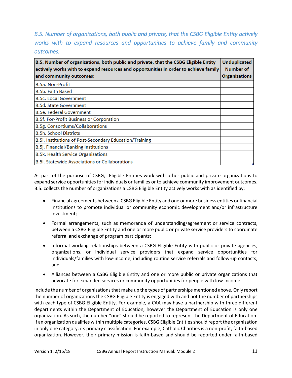<span id="page-12-0"></span>*B.5. Number of organizations, both public and private, that the CSBG Eligible Entity actively works with to expand resources and opportunities to achieve family and community outcomes.* 

| B.5. Number of organizations, both public and private, that the CSBG Eligible Entity<br>actively works with to expand resources and opportunities in order to achieve family |                      |  |  |
|------------------------------------------------------------------------------------------------------------------------------------------------------------------------------|----------------------|--|--|
| and community outcomes:                                                                                                                                                      | <b>Organizations</b> |  |  |
| <b>B.5a. Non-Profit</b>                                                                                                                                                      |                      |  |  |
| <b>B.5b. Faith Based</b>                                                                                                                                                     |                      |  |  |
| <b>B.5c. Local Government</b>                                                                                                                                                |                      |  |  |
| <b>B.5d. State Government</b>                                                                                                                                                |                      |  |  |
| <b>B.5e. Federal Government</b>                                                                                                                                              |                      |  |  |
| B.5f. For-Profit Business or Corporation                                                                                                                                     |                      |  |  |
| B.5g. Consortiums/Collaborations                                                                                                                                             |                      |  |  |
| <b>B.5h. School Districts</b>                                                                                                                                                |                      |  |  |
| B.5i. Institutions of Post-Secondary Education/Training                                                                                                                      |                      |  |  |
| <b>B.5j. Financial/Banking Institutions</b>                                                                                                                                  |                      |  |  |
| <b>B.5k. Health Service Organizations</b>                                                                                                                                    |                      |  |  |
| <b>B.5l. Statewide Associations or Collaborations</b>                                                                                                                        |                      |  |  |

As part of the purpose of CSBG, Eligible Entities work with other public and private organizations to expand service opportunities for individuals or families or to achieve community improvement outcomes. B.5. collects the number of organizations a CSBG Eligible Entity actively works with as identified by:

- Financial agreements between a CSBG Eligible Entity and one or more business entities or financial institutions to promote individual or community economic development and/or infrastructure investment;
- Formal arrangements, such as memoranda of understanding/agreement or service contracts, between a CSBG Eligible Entity and one or more public or private service providers to coordinate referral and exchange of program participants;
- Informal working relationships between a CSBG Eligible Entity with public or private agencies, organizations, or individual service providers that expand service opportunities for individuals/families with low-income, including routine service referrals and follow-up contacts; and
- Alliances between a CSBG Eligible Entity and one or more public or private organizations that advocate for expanded services or community opportunities for people with low-income.

Include the number of organizations that make up the types of partnerships mentioned above. Only report the number of organizations the CSBG Eligible Entity is engaged with and not the number of partnerships with each type of CSBG Eligible Entity. For example, a CAA may have a partnership with three different departments within the Department of Education, however the Department of Education is only one organization. As such, the number "one" should be reported to represent the Department of Education. If an organization qualifies within multiple categories, CSBG Eligible Entities should report the organization in only one category, its primary classification. For example, Catholic Charities is a non-profit, faith-based organization. However, their primary mission is faith-based and should be reported under faith-based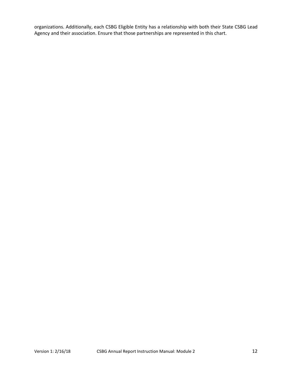organizations. Additionally, each CSBG Eligible Entity has a relationship with both their State CSBG Lead Agency and their association. Ensure that those partnerships are represented in this chart.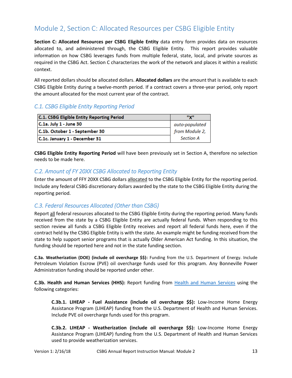# <span id="page-14-0"></span>Module 2, Section C: Allocated Resources per CSBG Eligible Entity

**Section C: Allocated Resources per CSBG Eligible Entity** data entry form provides data on resources allocated to, and administered through, the CSBG Eligible Entity. This report provides valuable information on how CSBG leverages funds from multiple federal, state, local, and private sources as required in the CSBG Act. Section C characterizes the work of the network and places it within a realistic context.

All reported dollars should be allocated dollars. **Allocated dollars** are the amount that is available to each CSBG Eligible Entity during a twelve-month period. If a contract covers a three-year period, only report the amount allocated for the most current year of the contract.

## <span id="page-14-1"></span>*C.1. CSBG Eligible Entity Reporting Period*

| <b>C.1. CSBG Eligible Entity Reporting Period</b> | "Y"              |
|---------------------------------------------------|------------------|
| $C.1a.$ July 1 - June 30                          | auto-populated   |
| C.1b. October 1 - September 30                    | from Module 2,   |
| C.1c. January 1 - December 31                     | <b>Section A</b> |

**CSBG Eligible Entity Reporting Period** will have been previously set in Section A, therefore no selection needs to be made here.

#### <span id="page-14-2"></span>*C.2. Amount of FY 20XX CSBG Allocated to Reporting Entity*

Enter the amount of FFY 20XX CSBG dollars allocated to the CSBG Eligible Entity for the reporting period. Include any federal CSBG discretionary dollars awarded by the state to the CSBG Eligible Entity during the reporting period.

#### <span id="page-14-3"></span>*C.3. Federal Resources Allocated (Other than CSBG)*

Report all federal resources allocated to the CSBG Eligible Entity during the reporting period. Many funds received from the state by a CSBG Eligible Entity are actually federal funds. When responding to this section review all funds a CSBG Eligible Entity receives and report all federal funds here, even if the contract held by the CSBG Eligible Entity is with the state. An example might be funding received from the state to help support senior programs that is actually Older American Act funding. In this situation, the funding should be reported here and not in the state funding section.

**C.3a. Weatherization (DOE) (include oil overcharge \$\$):** Funding from the U.S. Department of Energy. Include Petroleum Violation Escrow (PVE) oil overcharge funds used for this program. Any Bonneville Power Administration funding should be reported under other.

**C.3b. Health and Human Services (HHS):** Report funding from [Health and Human Services](https://www.hhs.gov/) using the following categories:

**C.3b.1. LIHEAP - Fuel Assistance (include oil overcharge \$\$):** Low-Income Home Energy Assistance Program (LIHEAP) funding from the U.S. Department of Health and Human Services. Include PVE oil overcharge funds used for this program.

**C.3b.2. LIHEAP - Weatherization (include oil overcharge \$\$):** Low-Income Home Energy Assistance Program (LIHEAP) funding from the U.S. Department of Health and Human Services used to provide weatherization services.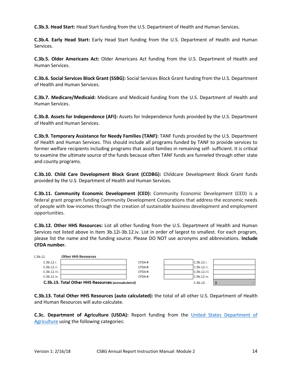**C.3b.3. Head Start:** Head Start funding from the U.S. Department of Health and Human Services.

**C.3b.4. Early Head Start:** Early Head Start funding from the U.S. Department of Health and Human Services.

**C.3b.5. Older Americans Act:** Older Americans Act funding from the U.S. Department of Health and Human Services.

**C.3b.6. Social Services Block Grant (SSBG):** Social Services Block Grant funding from the U.S. Department of Health and Human Services.

**C.3b.7. Medicare/Medicaid:** Medicare and Medicaid funding from the U.S. Department of Health and Human Services.

**C.3b.8. Assets for Independence (AFI):** Assets for Independence funds provided by the U.S. Department of Health and Human Services.

**C.3b.9. Temporary Assistance for Needy Families (TANF):** TANF Funds provided by the U.S. Department of Health and Human Services. This should include all programs funded by TANF to provide services to former welfare recipients including programs that assist families in remaining self- sufficient. It is critical to examine the ultimate source of the funds because often TANF funds are funneled through other state and county programs.

**C.3b.10. Child Care Development Block Grant (CCDBG):** Childcare Development Block Grant funds provided by the U.S. Department of Health and Human Services.

**C.3b.11. Community Economic Development (CED):** Community Economic Development (CED) is a federal grant program funding Community Development Corporations that address the economic needs of people with low-incomes through the creation of sustainable business development and employment opportunities.

**C.3b.12. Other HHS Resources:** List all other funding from the U.S. Department of Health and Human Services not listed above in Item 3b.12i-3b.12.iv. List in order of largest to smallest. For each program, please list the name and the funding source. Please DO NOT use acronyms and abbreviations. **Include CFDA number.**

| C.3b.12.     | <b>Other HHS Resources</b>                          |        |              |  |
|--------------|-----------------------------------------------------|--------|--------------|--|
| C.3b.12.i.   |                                                     | CFDA#: | C.3b.12.i.   |  |
| C.3b.12.ii.  |                                                     | CFDA#: | C.3b.12.ii.  |  |
| C.3b.12.iii. |                                                     | CFDA#: | C.3b.12.iii. |  |
| C.3b.12.iv.  |                                                     | CFDA#: | C.3b.12(iv.  |  |
|              | C.3b.13. Total Other HHS Resources (autocalculated) |        | C.3b.13      |  |

**C.3b.13. Total Other HHS Resources (auto calculated):** the total of all other U.S. Department of Health and Human Resources will auto-calculate.

**C.3c. Department of Agriculture (USDA):** Report funding from the [United States Department of](https://www.usda.gov/)  [Agriculture](https://www.usda.gov/) using the following categories: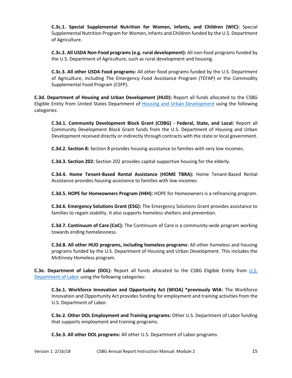**C.3c.1. Special Supplemental Nutrition for Women, Infants, and Children (WIC):** Special Supplemental Nutrition Program for Women, Infants and Children funded by the U.S. Department of Agriculture.

**C.3c.2. All USDA Non-Food programs (e.g. rural development):** All non-food programs funded by the U.S. Department of Agriculture, such as rural development and housing.

**C.3c.3. All other USDA Food programs:** All other food programs funded by the U.S. Department of Agriculture, including The Emergency Food Assistance Program (TEFAP) or the Commodity Supplemental Food Program (CSFP).

**C.3d. Department of Housing and Urban Development (HUD):** Report all funds allocated to the CSBG Eligible Entity from United States Department of [Housing and Urban Development](https://portal.hud.gov/hudportal/HUD) using the following categories:

**C.3d.1. Community Development Block Grant (CDBG) - Federal, State, and Local:** Report all Community Development Block Grant funds from the U.S. Department of Housing and Urban Development received directly or indirectly through contracts with the state or local government.

**C.3d.2. Section 8:** Section 8 provides housing assistance to families with very low incomes.

**C.3d.3. Section 202:** Section 202 provides capital supportive housing for the elderly.

**C.3d.4. Home Tenant-Based Rental Assistance (HOME TBRA):** Home Tenant-Based Rental Assistance provides housing assistance to families with low-incomes.

**C.3d.5. HOPE for Homeowners Program (H4H):** HOPE for Homeowners is a refinancing program.

**C.3d.6. Emergency Solutions Grant (ESG):** The Emergency Solutions Grant provides assistance to families to regain stability. It also supports homeless shelters and prevention.

**C.3d.7. Continuum of Care (CoC):** The Continuum of Care is a community-wide program working towards ending homelessness.

**C.3d.8. All other HUD programs, including homeless programs:** All other homeless and housing programs funded by the U.S. Department of Housing and Urban Development. This includes the McKinney Homeless program.

**C.3e. Department of Labor (DOL):** Report all funds allocated to the CSBG Eligible Entity from [U.S.](https://www.dol.gov/)  [Department of Labor](https://www.dol.gov/) using the following categories:

**C.3e.1. Workforce Innovation and Opportunity Act (WIOA) \*previously WIA:** The Workforce Innovation and Opportunity Act provides funding for employment and training activities from the U.S. Department of Labor.

**C.3e.2. Other DOL Employment and Training programs:** Other U.S. Department of Labor funding that supports employment and training programs.

**C.3e.3. All other DOL programs:** All other U.S. Department of Labor programs.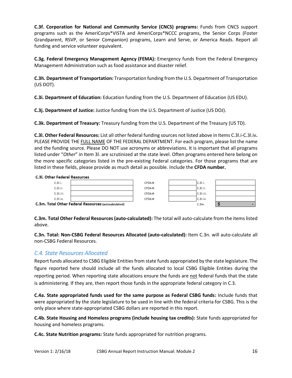**C.3f. Corporation for National and Community Service (CNCS) programs:** Funds from CNCS support programs such as the AmeriCorps\*VISTA and AmeriCorps\*NCCC programs, the Senior Corps (Foster Grandparent, RSVP, or Senior Companion) programs, Learn and Serve, or America Reads. Report all funding and service volunteer equivalent.

**C.3g. Federal Emergency Management Agency (FEMA):** Emergency funds from the Federal Emergency Management Administration such as food assistance and disaster relief.

**C.3h. Department of Transportation:** Transportation funding from the U.S. Department of Transportation (US DOT).

**C.3i. Department of Education:** Education funding from the U.S. Department of Education (US EDU).

**C.3j. Department of Justice:** Justice funding from the U.S. Department of Justice (US DOJ).

**C.3k. Department of Treasury:** Treasury funding from the U.S. Department of the Treasury (US TD).

**C.3l. Other Federal Resources:** List all other federal funding sources not listed above in Items C.3l.i-C.3l.iv**.**  PLEASE PROVIDE THE FULL NAME OF THE FEDERAL DEPARTMENT. For each program, please list the name and the funding source. Please DO NOT use acronyms or abbreviations. It is important that all programs listed under "*Other*" in Item 3l. are scrutinized at the state level. Often programs entered here belong on the more specific categories listed in the pre-existing Federal categories. For those programs that are listed in these fields, please provide as much detail as possible. Include the **CFDA number.**

#### **C.3l. Other Federal Resources**



C.3m. Total Other Federal Resources (autocalculated)

**C.3m. Total Other Federal Resources (auto-calculated):** The total will auto-calculate from the items listed above.

**C.3n. Total: Non-CSBG Federal Resources Allocated (auto-calculated):** Item C.3n. will auto-calculate all non-CSBG Federal Resources.

#### <span id="page-17-0"></span>*C.4. State Resources Allocated*

Report funds allocated to CSBG Eligible Entities from state funds appropriated by the state legislature. The figure reported here should include all the funds allocated to local CSBG Eligible Entities during the reporting period. When reporting state allocations ensure the funds are not federal funds that the state is administering. If they are, then report those funds in the appropriate federal category in C.3.

**C.4a. State appropriated funds used for the same purpose as Federal CSBG funds:** Include funds that were appropriated by the state legislature to be used in line with the federal criteria for CSBG. This is the only place where state-appropriated CSBG dollars are reported in this report.

**C.4b. State Housing and Homeless programs (include housing tax credits):** State funds appropriated for housing and homeless programs.

**C.4c. State Nutrition programs:** State funds appropriated for nutrition programs.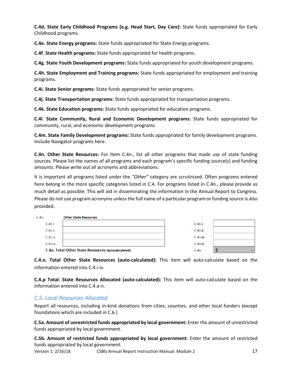**C.4d. State Early Childhood Programs (e.g. Head Start, Day Care):** State funds appropriated for Early Childhood programs.

**C.4e. State Energy programs:** State funds appropriated for State Energy programs.

**C.4f. State Health programs:** State funds appropriated for health programs.

**C.4g. State Youth Development programs:** State funds appropriated for youth development programs.

**C.4h. State Employment and Training programs:** State funds appropriated for employment and training programs.

**C.4i. State Senior programs:** State funds appropriated for senior programs.

**C.4j. State Transportation programs:** State funds appropriated for transportation programs.

**C.4k. State Education programs:** State funds appropriated for education programs.

**C.4l. State Community, Rural and Economic Development programs:** State funds appropriated for community, rural, and economic development programs.

**C.4m. State Family Development programs:** State funds appropriated for family development programs. Include Navigator programs here.

**C.4n. Other State Resources:** For Item C.4n., list all other programs that made use of state funding sources. Please list the names of all programs and each program's specific funding source(s) and funding amounts. Please write out all acronyms and abbreviations.

It is important all programs listed under the *"Other"* category are scrutinized. Often programs entered here belong in the more specific categories listed in C.4. For programs listed in C.4n., please provide as much detail as possible. This will aid in disseminating the information in the Annual Report to Congress. Please do not use program acronyms unless the full name of a particular program or funding source is also provided.

| C.4n.       | <b>Other State Resources</b>                              |                  |  |
|-------------|-----------------------------------------------------------|------------------|--|
| C.4n.i.     |                                                           | C.4n.i.          |  |
| C.4n.ii.    |                                                           | C.4n.ii.         |  |
| C.4n.iii.   |                                                           | C.4n.iii.        |  |
| $C.4n$ .iv. |                                                           | $C.4n$ .iv.      |  |
|             | <b>C.4o. Total Other State Resources (autocalculated)</b> | C.4 <sub>O</sub> |  |

**C.4.o. Total Other State Resources (auto-calculated):** This item will auto-calculate based on the information entered into C.4.i-iv.

**C.4.p Total: State Resources Allocated (auto-calculated):** This item will auto-calculate based on the information entered into C.4.a-n.

#### <span id="page-18-0"></span>*C.5. Local Resources Allocated*

Report all resources, including in-kind donations from cities, counties, and other local funders (except foundations which are included in C.6.)

**C.5a. Amount of unrestricted funds appropriated by local government:** Enter the amount of unrestricted funds appropriated by local government.

**C.5b. Amount of restricted funds appropriated by local government:** Enter the amount of restricted funds appropriated by local government.

Version 1: 2/16/18 CSBG Annual Report Instruction Manual: Module 2 17